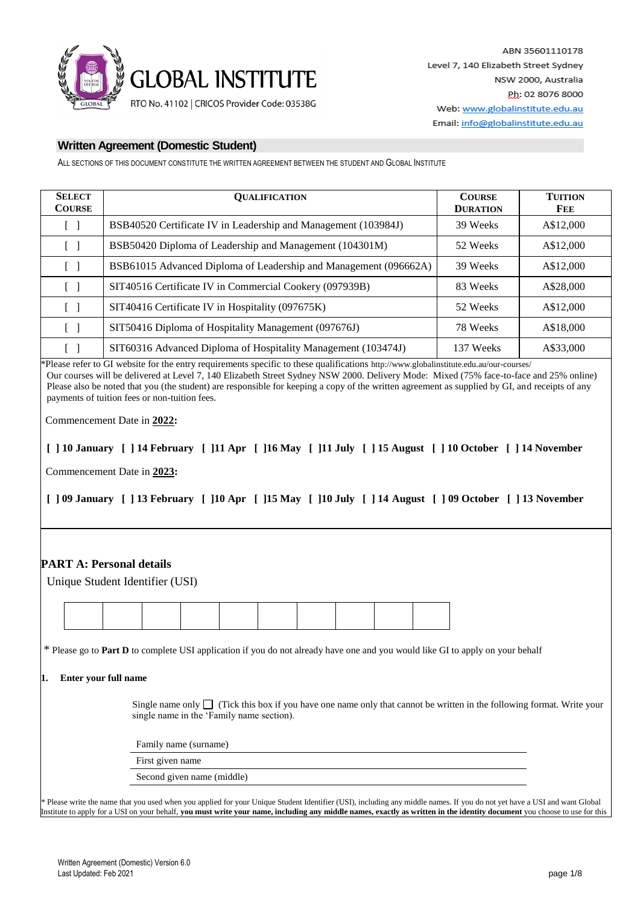

ALL SECTIONS OF THIS DOCUMENT CONSTITUTE THE WRITTEN AGREEMENT BETWEEN THE STUDENT AND GLOBAL INSTITUTE

| <b>SELECT</b><br><b>COURSE</b> | <b>OUALIFICATION</b>                                             | <b>COURSE</b><br><b>DURATION</b> | <b>TUITION</b><br>Fee |
|--------------------------------|------------------------------------------------------------------|----------------------------------|-----------------------|
| $\mathcal{L}$                  | BSB40520 Certificate IV in Leadership and Management (103984J)   | 39 Weeks                         | A\$12,000             |
| $\Box$                         | BSB50420 Diploma of Leadership and Management (104301M)          | 52 Weeks                         | A\$12,000             |
| ΓI                             | BSB61015 Advanced Diploma of Leadership and Management (096662A) | 39 Weeks                         | A\$12,000             |
| ΓI                             | SIT40516 Certificate IV in Commercial Cookery (097939B)          | 83 Weeks                         | A\$28,000             |
| $\lceil \ \rceil$              | SIT40416 Certificate IV in Hospitality (097675K)                 | 52 Weeks                         | A\$12,000             |
| $\Box$                         | SIT50416 Diploma of Hospitality Management (097676J)             | 78 Weeks                         | A\$18,000             |
| $\Box$                         | SIT60316 Advanced Diploma of Hospitality Management (103474J)    | 137 Weeks                        | A\$33,000             |

\*Please refer to GI website for the entry requirements specific to these qualifications http://www.globalinstitute.edu.au/our-courses/ Our courses will be delivered at Level 7, 140 Elizabeth Street Sydney NSW 2000. Delivery Mode: Mixed (75% face-to-face and 25% online) Please also be noted that you (the student) are responsible for keeping a copy of the written agreement as supplied by GI, and receipts of any payments of tuition fees or non-tuition fees.

Commencement Date in **2022:**

**[ ] 10 January [ ] 14 February [ ]11 Apr [ ]16 May [ ]11 July [ ] 15 August [ ] 10 October [ ] 14 November**

Commencement Date in **2023:**

**[ ] 09 January [ ] 13 February [ ]10 Apr [ ]15 May [ ]10 July [ ] 14 August [ ] 09 October [ ] 13 November**

# **PART A: Personal details**

| Unique Student Identifier (USI) |  |  |
|---------------------------------|--|--|
|---------------------------------|--|--|

\* Please go to **Part D** to complete USI application if you do not already have one and you would like GI to apply on your behalf

### **1. Enter your full name**

Single name only  $\Box$  (Tick this box if you have one name only that cannot be written in the following format. Write your single name in the 'Family name section).

Family name (surname)

First given name

Second given name (middle)

*\** Please write the name that you used when you applied for your Unique Student Identifier (USI), including any middle names. If you do not yet have a USI and want Global Institute to apply for a USI on your behalf, **you must write your name, including any middle names, exactly as written in the identity document** you choose to use for this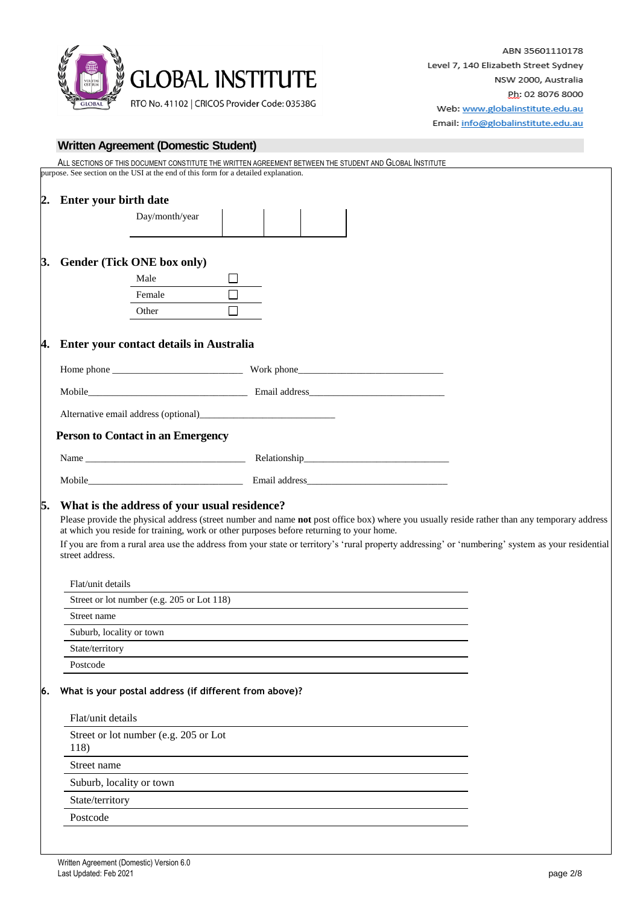

|    |                                                                                         | ALL SECTIONS OF THIS DOCUMENT CONSTITUTE THE WRITTEN AGREEMENT BETWEEN THE STUDENT AND GLOBAL INSTITUTE                                                                                                                        |
|----|-----------------------------------------------------------------------------------------|--------------------------------------------------------------------------------------------------------------------------------------------------------------------------------------------------------------------------------|
|    | purpose. See section on the USI at the end of this form for a detailed explanation.     |                                                                                                                                                                                                                                |
|    |                                                                                         |                                                                                                                                                                                                                                |
|    | 2. Enter your birth date<br>Day/month/year                                              |                                                                                                                                                                                                                                |
|    |                                                                                         |                                                                                                                                                                                                                                |
|    |                                                                                         |                                                                                                                                                                                                                                |
|    | 3. Gender (Tick ONE box only)                                                           |                                                                                                                                                                                                                                |
|    | Male                                                                                    |                                                                                                                                                                                                                                |
|    | Female                                                                                  |                                                                                                                                                                                                                                |
|    | Other                                                                                   |                                                                                                                                                                                                                                |
|    |                                                                                         |                                                                                                                                                                                                                                |
|    | 4. Enter your contact details in Australia                                              |                                                                                                                                                                                                                                |
|    |                                                                                         |                                                                                                                                                                                                                                |
|    |                                                                                         | Mobile Email address Email address environment of the Brazil and Texas and Texas and Texas and Texas and Texas and Texas and Texas and Texas and Texas and Texas and Texas and Texas and Texas and Texas and Texas and Texas a |
|    |                                                                                         |                                                                                                                                                                                                                                |
|    | <b>Person to Contact in an Emergency</b>                                                |                                                                                                                                                                                                                                |
|    |                                                                                         |                                                                                                                                                                                                                                |
|    |                                                                                         |                                                                                                                                                                                                                                |
|    |                                                                                         |                                                                                                                                                                                                                                |
| 5. | What is the address of your usual residence?                                            |                                                                                                                                                                                                                                |
|    | at which you reside for training, work or other purposes before returning to your home. | Please provide the physical address (street number and name not post office box) where you usually reside rather than any temporary address                                                                                    |
|    | street address.                                                                         | If you are from a rural area use the address from your state or territory's 'rural property addressing' or 'numbering' system as your residential                                                                              |
|    |                                                                                         |                                                                                                                                                                                                                                |
|    | Flat/unit details                                                                       |                                                                                                                                                                                                                                |
|    | Street or lot number (e.g. 205 or Lot 118)                                              |                                                                                                                                                                                                                                |
|    | Street name                                                                             |                                                                                                                                                                                                                                |
|    | Suburb, locality or town                                                                |                                                                                                                                                                                                                                |
|    | State/territory                                                                         |                                                                                                                                                                                                                                |
|    | Postcode                                                                                |                                                                                                                                                                                                                                |
| 6. | What is your postal address (if different from above)?                                  |                                                                                                                                                                                                                                |
|    |                                                                                         |                                                                                                                                                                                                                                |
|    | Flat/unit details                                                                       |                                                                                                                                                                                                                                |
|    | Street or lot number (e.g. 205 or Lot<br>118)                                           |                                                                                                                                                                                                                                |
|    | Street name                                                                             |                                                                                                                                                                                                                                |
|    | Suburb, locality or town                                                                |                                                                                                                                                                                                                                |
|    | State/territory                                                                         |                                                                                                                                                                                                                                |
|    | Postcode                                                                                |                                                                                                                                                                                                                                |
|    |                                                                                         |                                                                                                                                                                                                                                |
|    |                                                                                         |                                                                                                                                                                                                                                |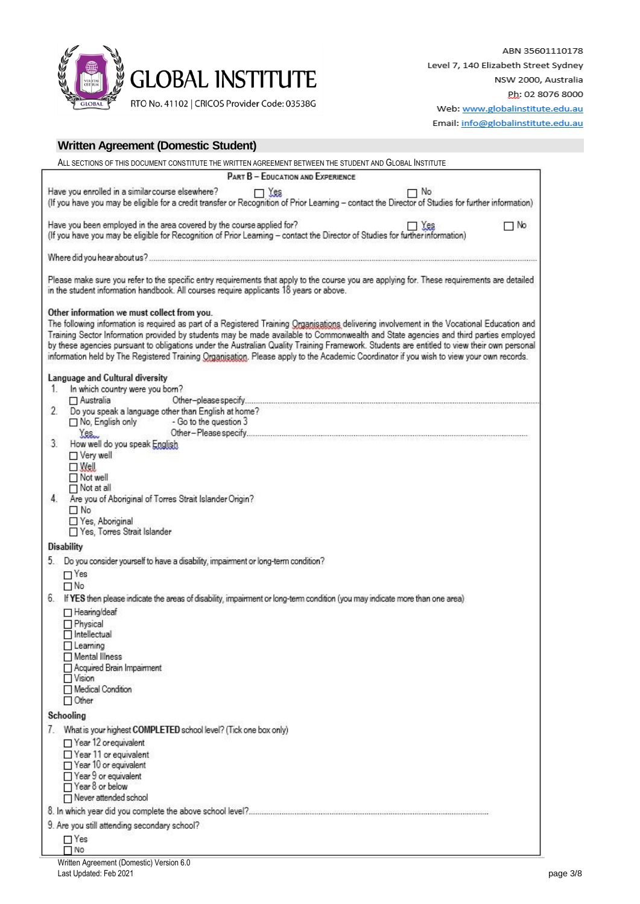

|  | Email: info@globalinstitute.edu.au |
|--|------------------------------------|
|--|------------------------------------|

|                                                                                                                                                                  | Written Agreement (Domestic Student)<br>ALL SECTIONS OF THIS DOCUMENT CONSTITUTE THE WRITTEN AGREEMENT BETWEEN THE STUDENT AND GLOBAL INSTITUTE                                                                                                                                                                                                                                                                                                                                                                                                                                |            |    |
|------------------------------------------------------------------------------------------------------------------------------------------------------------------|--------------------------------------------------------------------------------------------------------------------------------------------------------------------------------------------------------------------------------------------------------------------------------------------------------------------------------------------------------------------------------------------------------------------------------------------------------------------------------------------------------------------------------------------------------------------------------|------------|----|
|                                                                                                                                                                  | PART B - EDUCATION AND EXPERIENCE                                                                                                                                                                                                                                                                                                                                                                                                                                                                                                                                              |            |    |
| Have you enrolled in a similar course elsewhere?                                                                                                                 | $\Box$ Yes<br>(If you have you may be eligible for a credit transfer or Recognition of Prior Learning - contact the Director of Studies for further information)                                                                                                                                                                                                                                                                                                                                                                                                               | 7 No       |    |
|                                                                                                                                                                  | Have you been employed in the area covered by the course applied for?<br>(If you have you may be eligible for Recognition of Prior Learning - contact the Director of Studies for further information)                                                                                                                                                                                                                                                                                                                                                                         | $\Box$ Yes | No |
|                                                                                                                                                                  |                                                                                                                                                                                                                                                                                                                                                                                                                                                                                                                                                                                |            |    |
|                                                                                                                                                                  | Please make sure you refer to the specific entry requirements that apply to the course you are applying for. These requirements are detailed<br>in the student information handbook. All courses require applicants 18 years or above.                                                                                                                                                                                                                                                                                                                                         |            |    |
| Other information we must collect from you.                                                                                                                      | The following information is required as part of a Registered Training Organisations delivering involvement in the Vocational Education and<br>Training Sector Information provided by students may be made available to Commonwealth and State agencies and third parties employed<br>by these agencies pursuant to obligations under the Australian Quality Training Framework. Students are entitled to view their own personal<br>information held by The Registered Training Organisation. Please apply to the Academic Coordinator if you wish to view your own records. |            |    |
| Language and Cultural diversity<br>In which country were you born?<br>1.                                                                                         |                                                                                                                                                                                                                                                                                                                                                                                                                                                                                                                                                                                |            |    |
| $\Box$ Australia<br>2.                                                                                                                                           | Do you speak a language other than English at home?<br>$\Box$ No, English only $\Box$ - Go to the question 3                                                                                                                                                                                                                                                                                                                                                                                                                                                                   |            |    |
| Yes.<br>3<br>How well do you speak English<br>$\Box$ Very well<br>$\Box$ Well<br>$\Box$ Not well                                                                 |                                                                                                                                                                                                                                                                                                                                                                                                                                                                                                                                                                                |            |    |
| $\Box$ Not at all<br>4.<br>$\Box$ No<br>Yes, Aboriginal<br>Yes, Torres Strait Islander                                                                           | Are you of Aboriginal of Torres Strait Islander Origin?                                                                                                                                                                                                                                                                                                                                                                                                                                                                                                                        |            |    |
| <b>Disability</b>                                                                                                                                                |                                                                                                                                                                                                                                                                                                                                                                                                                                                                                                                                                                                |            |    |
| $\Box$ Yes                                                                                                                                                       | 5. Do you consider yourself to have a disability, impairment or long-term condition?                                                                                                                                                                                                                                                                                                                                                                                                                                                                                           |            |    |
| $\Box$ No<br>6.                                                                                                                                                  | If YES then please indicate the areas of disability, impairment or long-term condition (you may indicate more than one area)                                                                                                                                                                                                                                                                                                                                                                                                                                                   |            |    |
| □ Hearing/deaf<br>$\Box$ Physical<br>$\Box$ Intellectual<br>$\Box$ Learning<br>Mental Illness<br>Acquired Brain Impairment<br>$\Box$ Vision<br>Medical Condition |                                                                                                                                                                                                                                                                                                                                                                                                                                                                                                                                                                                |            |    |
| $\Box$ Other                                                                                                                                                     |                                                                                                                                                                                                                                                                                                                                                                                                                                                                                                                                                                                |            |    |
| Schooling<br>Year 12 or equivalent<br>Year 11 or equivalent<br>$\Box$ Year 10 or equivalent<br>□ Year 9 or equivalent                                            | 7. What is your highest COMPLETED school level? (Tick one box only)                                                                                                                                                                                                                                                                                                                                                                                                                                                                                                            |            |    |
| □ Year 8 or below<br>Never attended school                                                                                                                       |                                                                                                                                                                                                                                                                                                                                                                                                                                                                                                                                                                                |            |    |
|                                                                                                                                                                  |                                                                                                                                                                                                                                                                                                                                                                                                                                                                                                                                                                                |            |    |
| 9. Are you still attending secondary school?                                                                                                                     |                                                                                                                                                                                                                                                                                                                                                                                                                                                                                                                                                                                |            |    |
| $\Box$ Yes<br>$\Box$ No                                                                                                                                          |                                                                                                                                                                                                                                                                                                                                                                                                                                                                                                                                                                                |            |    |
| Written Agreement (Domestic) Version 6.0                                                                                                                         |                                                                                                                                                                                                                                                                                                                                                                                                                                                                                                                                                                                |            |    |

Last Updated: Feb 2021 page 3/8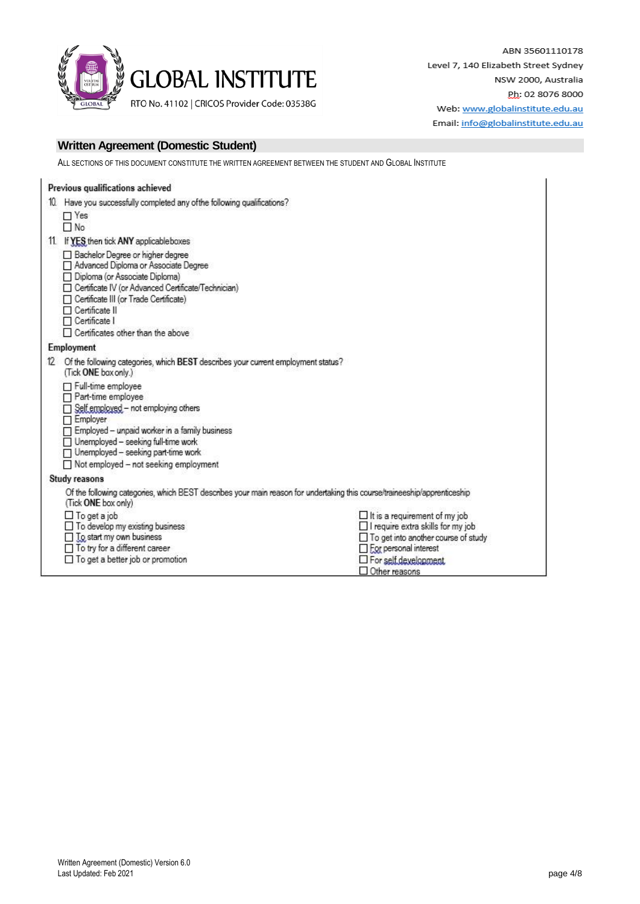

ABN 35601110178 Level 7, 140 Elizabeth Street Sydney NSW 2000, Australia Ph: 02 8076 8000 Web: www.globalinstitute.edu.au Email: info@globalinstitute.edu.au

## **Written Agreement (Domestic Student)**

ALL SECTIONS OF THIS DOCUMENT CONSTITUTE THE WRITTEN AGREEMENT BETWEEN THE STUDENT AND GLOBAL INSTITUTE

|     | Previous qualifications achieved                                                                                                                                                                                                                                                               |                                                                                                                                                                                                       |
|-----|------------------------------------------------------------------------------------------------------------------------------------------------------------------------------------------------------------------------------------------------------------------------------------------------|-------------------------------------------------------------------------------------------------------------------------------------------------------------------------------------------------------|
| 10. | Have you successfully completed any ofthe following qualifications?                                                                                                                                                                                                                            |                                                                                                                                                                                                       |
|     | $\Box$ Yes<br>$\Box$ No                                                                                                                                                                                                                                                                        |                                                                                                                                                                                                       |
|     | 11. If YES then tick ANY applicable boxes                                                                                                                                                                                                                                                      |                                                                                                                                                                                                       |
|     | Bachelor Degree or higher degree<br>Advanced Diploma or Associate Degree<br>Diploma (or Associate Diploma)<br>Certificate IV (or Advanced Certificate/Technician)<br>Certificate III (or Trade Certificate)<br>$\Box$ Certificate II<br>□ Certificate I<br>□ Certificates other than the above |                                                                                                                                                                                                       |
|     | Employment                                                                                                                                                                                                                                                                                     |                                                                                                                                                                                                       |
|     | 12 Of the following categories, which BEST describes your current employment status?<br>(Tick ONE box only.)                                                                                                                                                                                   |                                                                                                                                                                                                       |
|     | Full-time employee<br>□ Part-time employee<br>Self employed - not employing others<br>□ Employer<br>$\Box$ Employed - unpaid worker in a family business<br>$\Box$ Unemployed - seeking full-time work<br>□ Unemployed - seeking part-time work<br>Not employed - not seeking employment       |                                                                                                                                                                                                       |
|     | Study reasons                                                                                                                                                                                                                                                                                  |                                                                                                                                                                                                       |
|     | Of the following categories, which BEST describes your main reason for undertaking this course/traineeship/apprenticeship<br>(Tick ONE box only)                                                                                                                                               |                                                                                                                                                                                                       |
|     | $\Box$ To get a job<br>To develop my existing business<br>□ Io start my own business<br>□ To try for a different career<br>□ To get a better job or promotion                                                                                                                                  | $\Box$ It is a requirement of my job<br>□ I require extra skills for my job<br>□ To get into another course of study<br>$\Box$ For personal interest<br>$\Box$ For self development.<br>Other reasons |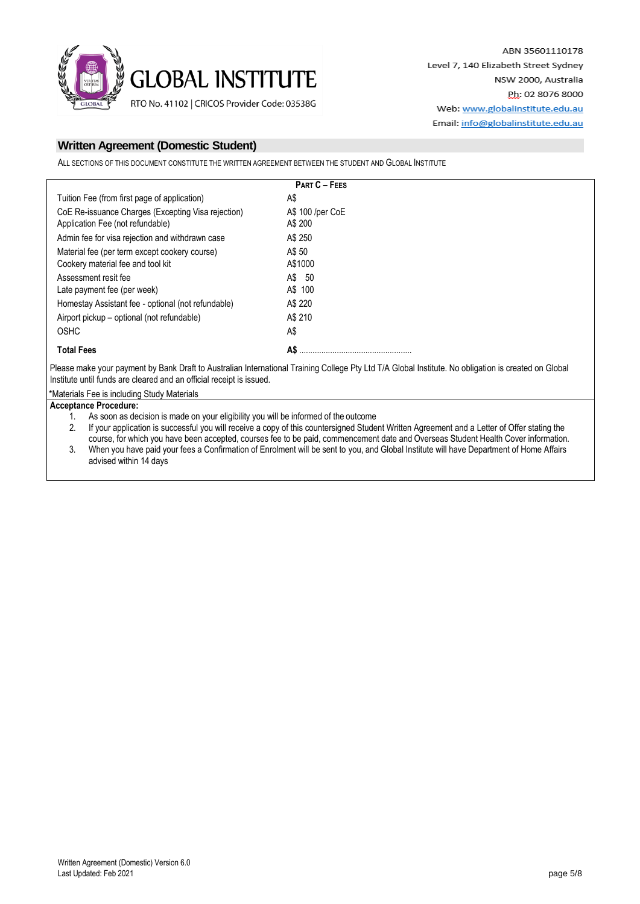

ALL SECTIONS OF THIS DOCUMENT CONSTITUTE THE WRITTEN AGREEMENT BETWEEN THE STUDENT AND GLOBAL INSTITUTE

|                                                                                        | <b>PART C - FEES</b>        |
|----------------------------------------------------------------------------------------|-----------------------------|
| Tuition Fee (from first page of application)                                           | A\$                         |
| CoE Re-issuance Charges (Excepting Visa rejection)<br>Application Fee (not refundable) | A\$ 100 /per CoE<br>A\$ 200 |
| Admin fee for visa rejection and withdrawn case                                        | A\$ 250                     |
| Material fee (per term except cookery course)                                          | A\$ 50                      |
| Cookery material fee and tool kit                                                      | A\$1000                     |
| Assessment resit fee                                                                   | A\$ 50                      |
| Late payment fee (per week)                                                            | A\$ 100                     |
| Homestay Assistant fee - optional (not refundable)                                     | A\$ 220                     |
| Airport pickup – optional (not refundable)                                             | A\$ 210                     |
| <b>OSHC</b>                                                                            | A\$                         |
| <b>Total Fees</b>                                                                      | A\$                         |

Please make your payment by Bank Draft to Australian International Training College Pty Ltd T/A Global Institute. No obligation is created on Global Institute until funds are cleared and an official receipt is issued.

\*Materials Fee is including Study Materials

**Acceptance Procedure:**

1. As soon as decision is made on your eligibility you will be informed of the outcome

2. If your application is successful you will receive a copy of this countersigned Student Written Agreement and a Letter of Offer stating the course, for which you have been accepted, courses fee to be paid, commencement date and Overseas Student Health Cover information.

3. When you have paid your fees a Confirmation of Enrolment will be sent to you, and Global Institute will have Department of Home Affairs advised within 14 days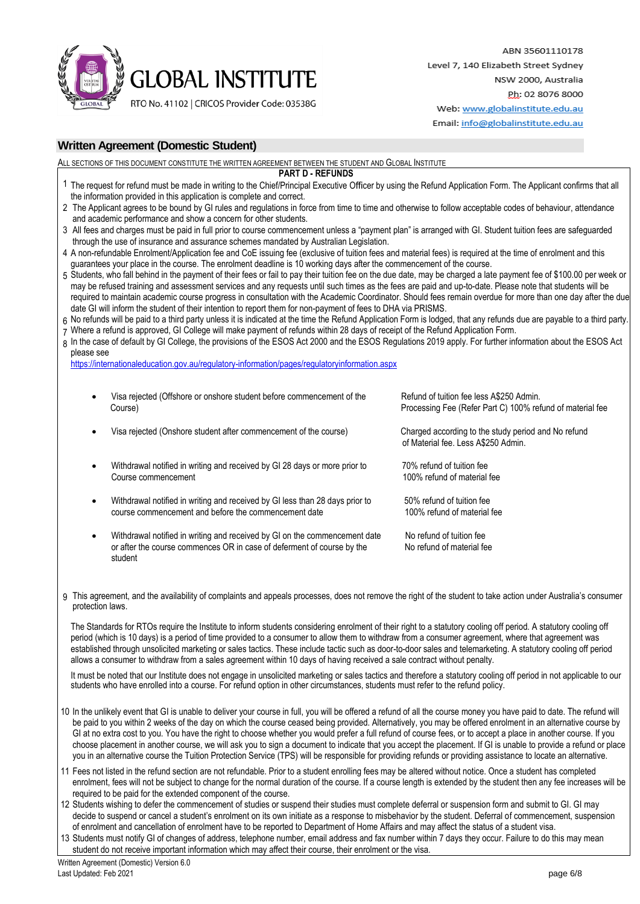

ABN 35601110178 Level 7, 140 Elizabeth Street Sydney NSW 2000, Australia Ph: 02 8076 8000 Web: www.globalinstitute.edu.au

Email: info@globalinstitute.edu.au

# **Written Agreement (Domestic Student)**

ALL SECTIONS OF THIS DOCUMENT CONSTITUTE THE WRITTEN AGREEMENT BETWEEN THE STUDENT AND GLOBAL INSTITUTE

- **PART D - REFUNDS**
- 1 The request for refund must be made in writing to the Chief/Principal Executive Officer by using the Refund Application Form. The Applicant confirms that all the information provided in this application is complete and correct. 2 The Applicant agrees to be bound by GI rules and regulations in force from time to time and otherwise to follow acceptable codes of behaviour, attendance and academic performance and show a concern for other students. 3 All fees and charges must be paid in full prior to course commencement unless a "payment plan" is arranged with GI. Student tuition fees are safeguarded 4 A non-refundable Enrolment/Application fee and CoE issuing fee (exclusive of tuition fees and material fees) is required at the time of enrolment and this 5 Students, who fall behind in the payment of their fees or fail to pay their tuition fee on the due date, may be charged a late payment fee of \$100.00 per week or 6 No refunds will be paid to a third party unless it is indicated at the time the Refund Application Form is lodged, that any refunds due are payable to a third party. 7 Where a refund is approved, GI College will make payment of refunds within 28 days of receipt of the Refund Application Form. 8 In the case of default by GI College, the provisions of the ESOS Act 2000 and the ESOS Regulations 2019 apply. For further information about the ESOS Act through the use of insurance and assurance schemes mandated by Australian Legislation. guarantees your place in the course. The enrolment deadline is 10 working days after the commencement of the course. may be refused training and assessment services and any requests until such times as the fees are paid and up-to-date. Please note that students will be required to maintain academic course progress in consultation with the Academic Coordinator. Should fees remain overdue for more than one day after the due date GI will inform the student of their intention to report them for non-payment of fees to DHA via PRISMS. please see <https://internationaleducation.gov.au/regulatory-information/pages/regulatoryinformation.aspx> Visa rejected (Offshore or onshore student before commencement of the Refund of tuition fee less A\$250 Admin. Course) Processing Fee (Refer Part C) 100% refund of material fee Visa rejected (Onshore student after commencement of the course) Charged according to the study period and No refund of Material fee. Less A\$250 Admin. Withdrawal notified in writing and received by GI 28 days or more prior to 70% refund of tuition fee<br>Course commencement 100% refund of material 100% refund of material fee Withdrawal notified in writing and received by GI less than 28 days prior to 50% refund of tuition fee<br>
course commencement and before the commencement date 100% refund of material fee course commencement and before the commencement date Withdrawal notified in writing and received by GI on the commencement date No refund of tuition fee<br>
or after the course commences OR in case of deferment of course by the No refund of material fee or after the course commences OR in case of deferment of course by the student 9 This agreement, and the availability of complaints and appeals processes, does not remove the right of the student to take action under Australia's consumer protection laws. The Standards for RTOs require the Institute to inform students considering enrolment of their right to a statutory cooling off period. A statutory cooling off period (which is 10 days) is a period of time provided to a consumer to allow them to withdraw from a consumer agreement, where that agreement was established through unsolicited marketing or sales tactics. These include tactic such as door-to-door sales and telemarketing. A statutory cooling off period allows a consumer to withdraw from a sales agreement within 10 days of having received a sale contract without penalty. It must be noted that our Institute does not engage in unsolicited marketing or sales tactics and therefore a statutory cooling off period in not applicable to our students who have enrolled into a course. For refund option in other circumstances, students must refer to the refund policy. 10 In the unlikely event that GI is unable to deliver your course in full, you will be offered a refund of all the course money you have paid to date. The refund will be paid to you within 2 weeks of the day on which the course ceased being provided. Alternatively, you may be offered enrolment in an alternative course by GI at no extra cost to you. You have the right to choose whether you would prefer a full refund of course fees, or to accept a place in another course. If you choose placement in another course, we will ask you to sign a document to indicate that you accept the placement. If GI is unable to provide a refund or place you in an alternative course the Tuition Protection Service (TPS) will be responsible for providing refunds or providing assistance to locate an alternative. 11 Fees not listed in the refund section are not refundable. Prior to a student enrolling fees may be altered without notice. Once a student has completed enrolment, fees will not be subject to change for the normal duration of the course. If a course length is extended by the student then any fee increases will be required to be paid for the extended component of the course. 12 Students wishing to defer the commencement of studies or suspend their studies must complete deferral or suspension form and submit to GI. GI may
- decide to suspend or cancel a student's enrolment on its own initiate as a response to misbehavior by the student. Deferral of commencement, suspension of enrolment and cancellation of enrolment have to be reported to Department of Home Affairs and may affect the status of a student visa.

13 Students must notify GI of changes of address, telephone number, email address and fax number within 7 days they occur. Failure to do this may mean student do not receive important information which may affect their course, their enrolment or the visa.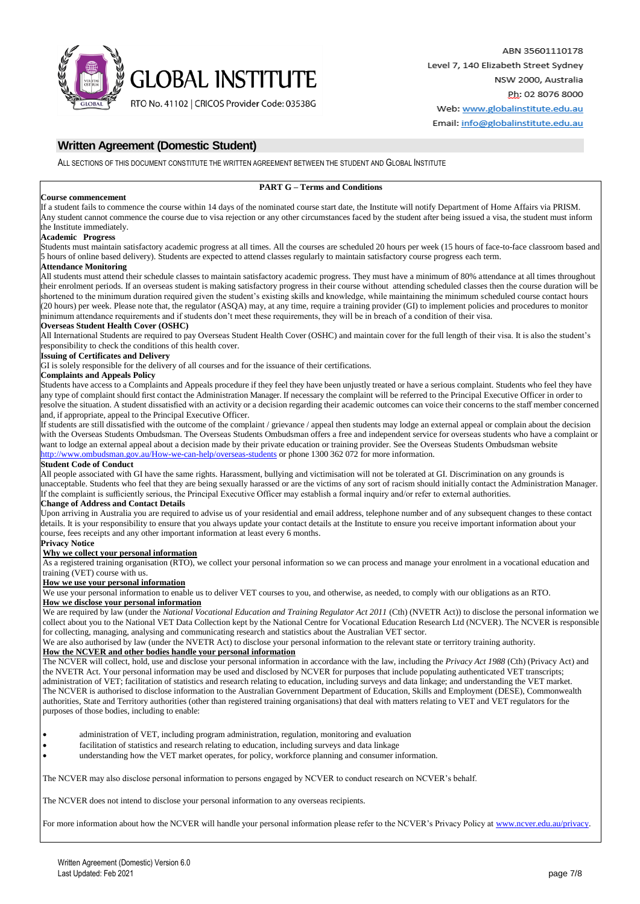

ALL SECTIONS OF THIS DOCUMENT CONSTITUTE THE WRITTEN AGREEMENT BETWEEN THE STUDENT AND GLOBAL INSTITUTE

### **PART G – Terms and Conditions**

#### **Course commencement**

If a student fails to commence the course within 14 days of the nominated course start date, the Institute will notify Department of Home Affairs via PRISM. Any student cannot commence the course due to visa rejection or any other circumstances faced by the student after being issued a visa, the student must inform the Institute immediately.

#### **Academic Progress**

Students must maintain satisfactory academic progress at all times. All the courses are scheduled 20 hours per week (15 hours of face-to-face classroom based and 5 hours of online based delivery). Students are expected to attend classes regularly to maintain satisfactory course progress each term.

#### **Attendance Monitoring**

All students must attend their schedule classes to maintain satisfactory academic progress. They must have a minimum of 80% attendance at all times throughout their enrolment periods. If an overseas student is making satisfactory progress in their course without attending scheduled classes then the course duration will be shortened to the minimum duration required given the student's existing skills and knowledge, while maintaining the minimum scheduled course contact hours (20 hours) per week. Please note that, the regulator (ASQA) may, at any time, require a training provider (GI) to implement policies and procedures to monitor minimum attendance requirements and if students don't meet these requirements, they will be in breach of a condition of their visa.

### **Overseas Student Health Cover (OSHC)**

All International Students are required to pay Overseas Student Health Cover (OSHC) and maintain cover for the full length of their visa. It is also the student's responsibility to check the conditions of this health cover.

#### **Issuing of Certificates and Delivery**

GI is solely responsible for the delivery of all courses and for the issuance of their certifications.

#### **Complaints and Appeals Policy**

Students have access to a Complaints and Appeals procedure if they feel they have been unjustly treated or have a serious complaint. Students who feel they have any type of complaint should first contact the Administration Manager. If necessary the complaint will be referred to the Principal Executive Officer in order to resolve the situation. A student dissatisfied with an activity or a decision regarding their academic outcomes can voice their concerns to the staff member concerned and, if appropriate, appeal to the Principal Executive Officer.

If students are still dissatisfied with the outcome of the complaint / grievance / appeal then students may lodge an external appeal or complain about the decision with the Overseas Students Ombudsman. The Overseas Students Ombudsman offers a free and independent service for overseas students who have a complaint or want to lodge an external appeal about a decision made by their private education or training provider. See the Overseas Students Ombudsman website

<http://www.ombudsman.gov.au/How-we-can-help/overseas-students> or phone 1300 362 072 for more information.

### **Student Code of Conduct**

All people associated with GI have the same rights. Harassment, bullying and victimisation will not be tolerated at GI. Discrimination on any grounds is unacceptable. Students who feel that they are being sexually harassed or are the victims of any sort of racism should initially contact the Administration Manager. If the complaint is sufficiently serious, the Principal Executive Officer may establish a formal inquiry and/or refer to external authorities.

### **Change of Address and Contact Details**

Upon arriving in Australia you are required to advise us of your residential and email address, telephone number and of any subsequent changes to these contact details. It is your responsibility to ensure that you always update your contact details at the Institute to ensure you receive important information about your course, fees receipts and any other important information at least every 6 months.

## **Privacy Notice**

#### **Why we collect your personal information**

As a registered training organisation (RTO), we collect your personal information so we can process and manage your enrolment in a vocational education and training (VET) course with us.

#### **How we use your personal information**

We use your personal information to enable us to deliver VET courses to you, and otherwise, as needed, to comply with our obligations as an RTO.

#### **How we disclose your personal information**

We are required by law (under the *National Vocational Education and Training Regulator Act 2011* (Cth) (NVETR Act)) to disclose the personal information we collect about you to the National VET Data Collection kept by the National Centre for Vocational Education Research Ltd (NCVER). The NCVER is responsible for collecting, managing, analysing and communicating research and statistics about the Australian VET sector.

We are also authorised by law (under the NVETR Act) to disclose your personal information to the relevant state or territory training authority.

### **How the NCVER and other bodies handle your personal information**

The NCVER will collect, hold, use and disclose your personal information in accordance with the law, including the *Privacy Act 1988* (Cth) (Privacy Act) and the NVETR Act. Your personal information may be used and disclosed by NCVER for purposes that include populating authenticated VET transcripts; administration of VET; facilitation of statistics and research relating to education, including surveys and data linkage; and understanding the VET market. The NCVER is authorised to disclose information to the Australian Government Department of Education, Skills and Employment (DESE), Commonwealth authorities, State and Territory authorities (other than registered training organisations) that deal with matters relating to VET and VET regulators for the purposes of those bodies, including to enable:

administration of VET, including program administration, regulation, monitoring and evaluation

- facilitation of statistics and research relating to education, including surveys and data linkage
- understanding how the VET market operates, for policy, workforce planning and consumer information.

The NCVER may also disclose personal information to persons engaged by NCVER to conduct research on NCVER's behalf.

The NCVER does not intend to disclose your personal information to any overseas recipients.

For more information about how the NCVER will handle your personal information please refer to the NCVER's Privacy Policy a[t www.ncver.edu.au/privacy.](http://www.ncver.edu.au/privacy)